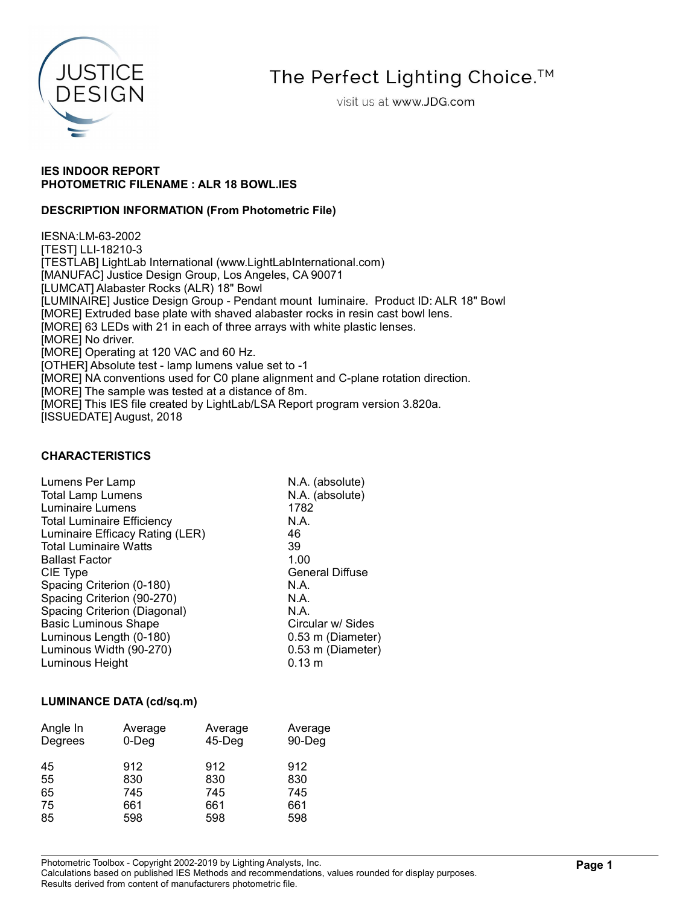

# The Perfect Lighting Choice.<sup>™</sup>

visit us at www.JDG.com

## IES INDOOR REPORT PHOTOMETRIC FILENAME : ALR 18 BOWL.IES

## DESCRIPTION INFORMATION (From Photometric File)

IESNA:LM-63-2002 [TEST] LLI-18210-3 [TESTLAB] LightLab International (www.LightLabInternational.com) [MANUFAC] Justice Design Group, Los Angeles, CA 90071 [LUMCAT] Alabaster Rocks (ALR) 18" Bowl [LUMINAIRE] Justice Design Group - Pendant mount luminaire. Product ID: ALR 18" Bowl [MORE] Extruded base plate with shaved alabaster rocks in resin cast bowl lens. [MORE] 63 LEDs with 21 in each of three arrays with white plastic lenses. [MORE] No driver. [MORE] Operating at 120 VAC and 60 Hz. [OTHER] Absolute test - lamp lumens value set to -1 [MORE] NA conventions used for C0 plane alignment and C-plane rotation direction. [MORE] The sample was tested at a distance of 8m. [MORE] This IES file created by LightLab/LSA Report program version 3.820a. [ISSUEDATE] August, 2018

## CHARACTERISTICS

| Lumens Per Lamp                   | N.A. (absolute)        |
|-----------------------------------|------------------------|
| <b>Total Lamp Lumens</b>          | N.A. (absolute)        |
| Luminaire Lumens                  | 1782                   |
| <b>Total Luminaire Efficiency</b> | N.A.                   |
| Luminaire Efficacy Rating (LER)   | 46                     |
| <b>Total Luminaire Watts</b>      | 39                     |
| <b>Ballast Factor</b>             | 1.00                   |
| CIE Type                          | <b>General Diffuse</b> |
| Spacing Criterion (0-180)         | N.A.                   |
| Spacing Criterion (90-270)        | N.A.                   |
| Spacing Criterion (Diagonal)      | N.A.                   |
| <b>Basic Luminous Shape</b>       | Circular w/ Sides      |
| Luminous Length (0-180)           | 0.53 m (Diameter)      |
| Luminous Width (90-270)           | 0.53 m (Diameter)      |
| Luminous Height                   | $0.13 \text{ m}$       |

#### LUMINANCE DATA (cd/sq.m)

| Angle In<br>Degrees | Average<br>$0$ -Deg | Average<br>$45$ -Deg | Average<br>90-Deg |  |  |  |  |
|---------------------|---------------------|----------------------|-------------------|--|--|--|--|
| 45<br>55            | 912<br>830          | 912<br>830           | 912<br>830        |  |  |  |  |
| 65                  | 745                 | 745                  | 745               |  |  |  |  |
| 75                  | 661                 | 661                  | 661               |  |  |  |  |
| 85                  | 598                 | 598                  | 598               |  |  |  |  |

Photometric Toolbox - Copyright 2002-2019 by Lighting Analysts, Inc.

Calculations based on published IES Methods and recommendations, values rounded for display purposes. Results derived from content of manufacturers photometric file.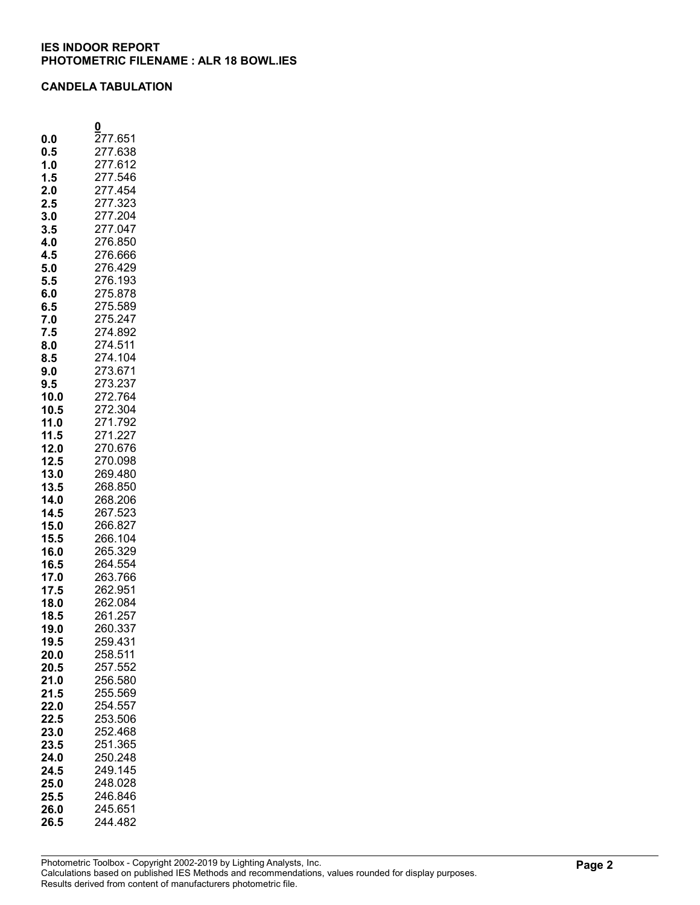#### CANDELA TABULATION

|      | 0           |
|------|-------------|
|      |             |
| 0.0  | 277.651     |
| 0.5  | 277<br>.638 |
| 1.0  | 277<br>.612 |
| 1.5  | 277.546     |
| 2.0  | 277.454     |
|      |             |
| 2.5  | 277.323     |
| 3.0  | 277.204     |
| 3.5  | 277.047     |
| 4.0  | 276.850     |
| 4.5  | 276.666     |
| 5.0  | 276.429     |
| 5.5  | 276.193     |
|      | 275.878     |
| 6.0  |             |
| 6.5  | 275.589     |
| 7.0  | 275.247     |
| 7.5  | 274.892     |
| 8.0  | 274.511     |
| 8.5  | 274.104     |
| 9.0  | 273.671     |
|      | 273.237     |
| 9.5  |             |
| 10.0 | 272.764     |
| 10.5 | 272.304     |
| 11.0 | 271.792     |
| 11.5 | 271.227     |
| 12.0 | 270.676     |
| 12.5 | 270.098     |
| 13.0 | 269.480     |
|      | 268.850     |
| 13.5 |             |
| 14.0 | 268.206     |
| 14.5 | 267.523     |
| 15.0 | 266.827     |
| 15.5 | 266.104     |
| 16.0 | 265.329     |
| 16.5 | 264.554     |
| 17.0 | 263.766     |
|      | 262.951     |
| 17.5 |             |
| 18.0 | 262.084     |
| 18.5 | 261.257     |
| 19.0 | 260.337     |
| 19.5 | 259.431     |
| 20.0 | 258.511     |
| 20.5 | 257.552     |
| 21.0 | 256.580     |
|      | 255.569     |
| 21.5 |             |
| 22.0 | 254.557     |
| 22.5 | 253.506     |
| 23.0 | 252.468     |
| 23.5 | 251.365     |
| 24.0 | 250.248     |
| 24.5 | 249.145     |
| 25.0 | 248.028     |
|      | 246.846     |
| 25.5 |             |
| 26.0 | 245.651     |
| 26.5 | 244.482     |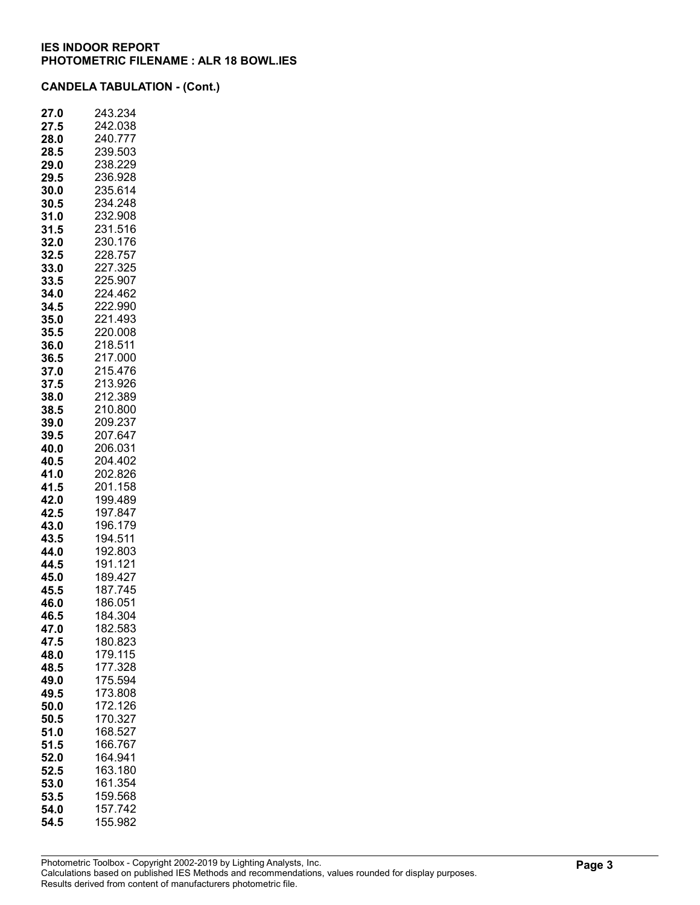| 27.<br>.0 | 243.234 |
|-----------|---------|
| 27.5      | 242.038 |
| 28.0      | 240.777 |
| 28.5      | 239.503 |
| 29.0      | 238.229 |
| 29.5      | 236.928 |
| 30.0      | 235.614 |
| 30.5      | 234.248 |
| 31.0      | 232.908 |
| 31.5      | 231.516 |
| 32.0      | 230.176 |
| 32.5      | 228.757 |
| 33.0      | 227.325 |
| 33.5      | 225.907 |
| 34.0      | 224.462 |
| 34.5      | 222.990 |
| 35.0      | 221.493 |
| 35.5      | 220.008 |
| 36.0      | 218.511 |
| 36.5      | 217.000 |
| 37.0      | 215.476 |
| 37.5      | 213.926 |
| 38.0      | 212.389 |
| 38.5      | 210.800 |
| 39.0      | 209.237 |
| 39.5      | 207.647 |
| 40.0      | 206.031 |
| 40.5      | 204.402 |
| 41.0      | 202.826 |
| 41.5      | 201.158 |
| 42.0      | 199.489 |
| 42.5      | 197.847 |
| 43.0      | 196.179 |
| 43.5      | 194.511 |
| 44.0      | 192.803 |
| 44.5      | 191.121 |
| 45.0      | 189.427 |
| 45.5      | 187.745 |
| 46.0      | 186.051 |
| 46.5      | 184.304 |
| 47.0      | 182.583 |
| 47.5      | 180.823 |
| 48.0      | 179.115 |
| 48.5      | 177.328 |
| 49.0      | 175.594 |
| 49.5      | 173.808 |
| 50.0      | 172.126 |
| 50.5      | 170.327 |
| 51.0      | 168.527 |
| 51.5      | 166.767 |
| 52.0      | 164.941 |
| 52.5      | 163.180 |
| 53.0      | 161.354 |
| 53.5      | 159.568 |
| 54.0      | 157.742 |
| 54.5      | 155.982 |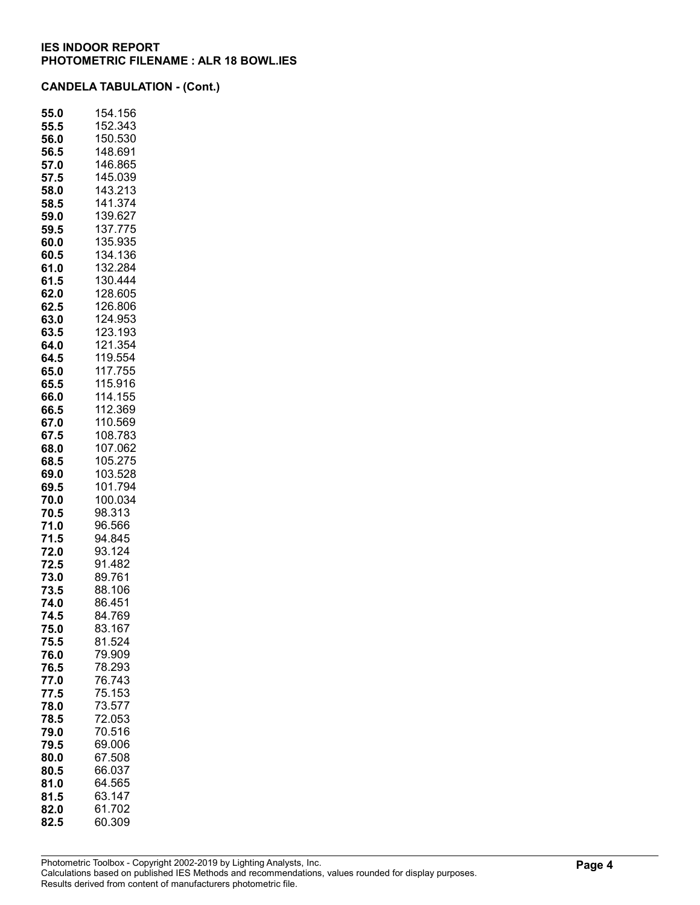| 55.0         | 154.156            |
|--------------|--------------------|
| 55.5         | 152.343            |
| 56.0         | 150.530            |
| 56.5         | 148.691            |
| 57.0         | 146.865            |
| 57.5         | 145.039            |
| 58.0         | 143.213<br>141.374 |
| 58.5         | 139.627            |
| 59.0         | 137.775            |
| 59.5<br>60.0 | 135.935            |
| 60.5         | 134.136            |
| 61.0         | 132.284            |
| 61.5         | 130.444            |
| 62.0         | 128.605            |
| 62.5         | 126.806            |
| 63.0         | 124.953            |
| 63.5         | 123.193            |
| 64.0         | 121.354            |
| 64.5         | 119.554            |
| 65.0         | 117.755            |
| 65.5         | 115.916            |
| 66.0         | 114.155            |
| 66.5         | 112.369            |
| 67.0         | 110.569            |
| 67.5         | 108.783            |
| 68.0         | 107.062            |
| 68.5         | 105.275            |
| 69.0         | 103.528            |
| 69.5         | 101.794            |
| 70.0         | 100.034            |
| 70.5         | 98.313             |
| 71.0         | 96.566             |
| 71.5<br>72.0 | 94.845<br>93.124   |
| 72.5         | 91.482             |
| 73.0         | 89.761             |
| 73.5         | 88.106             |
| 74.0         | 86.451             |
| 74.5         | 84.769             |
| 75.0         | 83.167             |
| 75.5         | 81.524             |
| 76.0         | 79.909             |
| 76.5         | 78.293             |
| 77.0         | 76.743             |
| 77.5         | 75.153             |
| 78.0         | 73.577             |
| 78.5         | 72.053             |
| 79.0         | 70.516             |
| 79.5         | 69.006             |
| 80.0         | 67.508             |
| 80.5         | 66.037             |
| 81.0         | 64.565             |
| 81.5         | 63.147             |
| 82.0         | 61.702             |
| 82.5         | 60.309             |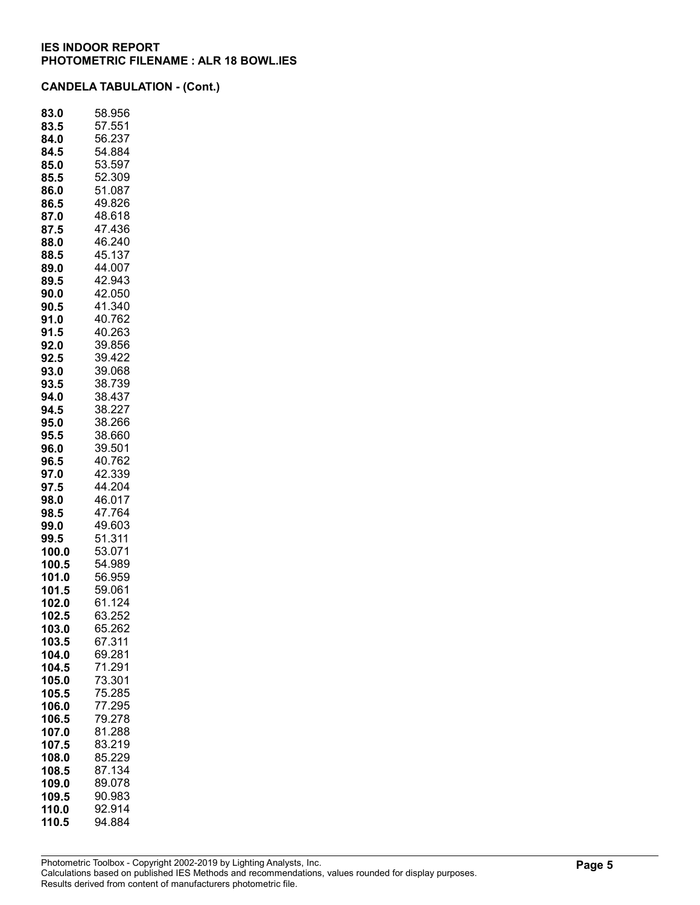| 83.0  | 58.956           |
|-------|------------------|
| 83.5  | 57.551           |
| 84.0  | 56.237           |
| 84.5  | 54.884           |
| 85.0  | 53.597           |
| 85.5  | 52.309           |
| 86.0  | 51.087           |
| 86.5  | 49.826           |
| 87.0  | 48.618           |
| 87.5  | 47.436           |
| 88.0  | 46.240           |
| 88.5  | 45.137           |
| 89.0  | 44.007           |
| 89.5  | 42.943           |
| 90.0  | 42.050           |
| 90.5  | 41.340           |
| 91.0  | 40.762           |
| 91.5  | 40.263           |
| 92.0  | 39.856           |
|       |                  |
| 92.5  | 39.422           |
| 93.0  | 39.068<br>38.739 |
| 93.5  |                  |
| 94.0  | 38.437           |
| 94.5  | 38.227<br>38.266 |
| 95.0  |                  |
| 95.5  | 38.660           |
| 96.0  | 39.501           |
| 96.5  | 40.762           |
| 97.0  | 42.339           |
| 97.5  | 44.204           |
| 98.0  | 46.017           |
| 98.5  | 47.764           |
| 99.0  | 49.603           |
| 99.5  | 51.311           |
| 100.0 | 53.071           |
| 100.5 | 54.989           |
| 101.0 | 56.959           |
| 101.5 | 59.061           |
| 102.0 | 61.124           |
| 102.5 | 63.252           |
| 103.0 | 65.262           |
| 103.5 | 67.311           |
| 104.0 | 69.281           |
| 104.5 | 71.291           |
| 105.0 | 73.301           |
| 105.5 | 75.285           |
| 106.0 | 77.295           |
| 106.5 | 79.278           |
| 107.0 | 81.288           |
| 107.5 | 83.219           |
| 108.0 | 85.229           |
| 108.5 | 87.134           |
| 109.0 | 89.078           |
| 109.5 | 90.983           |
| 110.0 | 92.914           |
| 110.5 | 94.884           |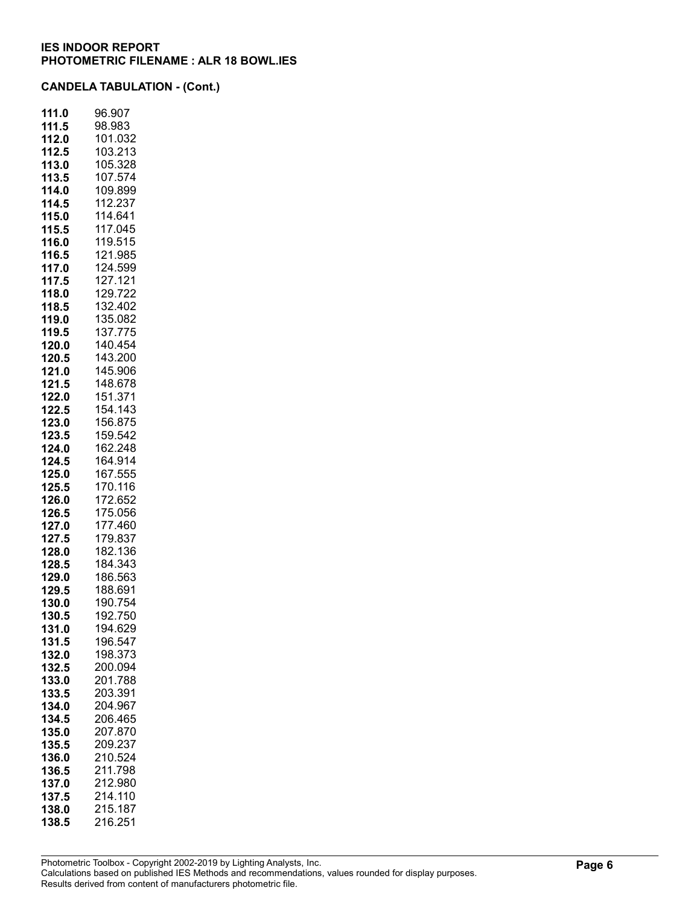| 111.0 | 96.907  |
|-------|---------|
| 111.5 | 98.983  |
| 112.0 | 101.032 |
| 112.5 | 103.213 |
| 113.0 | 105.328 |
| 113.5 | 107.574 |
| 114.0 | 109.899 |
| 114.5 | 112.237 |
| 115.0 | 114.641 |
| 115.5 | 117.045 |
| 116.0 | 119.515 |
| 116.5 | 121.985 |
| 117.0 | 124.599 |
|       | 127.121 |
| 117.5 | 129.722 |
| 118.0 | 132.402 |
| 118.5 |         |
| 119.0 | 135.082 |
| 119.5 | 137.775 |
| 120.0 | 140.454 |
| 120.5 | 143.200 |
| 121.0 | 145.906 |
| 121.5 | 148.678 |
| 122.0 | 151.371 |
| 122.5 | 154.143 |
| 123.0 | 156.875 |
| 123.5 | 159.542 |
| 124.0 | 162.248 |
| 124.5 | 164.914 |
| 125.0 | 167.555 |
| 125.5 | 170.116 |
| 126.0 | 172.652 |
| 126.5 | 175.056 |
| 127.0 | 177.460 |
| 127.5 | 179.837 |
| 128.0 | 182.136 |
| 128.5 | 184.343 |
| 129.0 | 186.563 |
| 129.5 | 188.691 |
| 130.0 | 190.754 |
| 130.5 | 192.750 |
| 131.0 | 194.629 |
| 131.5 | 196.547 |
| 132.0 | 198.373 |
| 132.5 | 200.094 |
| 133.0 | 201.788 |
| 133.5 | 203.391 |
| 134.0 | 204.967 |
| 134.5 | 206.465 |
| 135.0 | 207.870 |
| 135.5 | 209.237 |
| 136.0 | 210.524 |
| 136.5 | 211.798 |
| 137.0 | 212.980 |
| 137.5 | 214.110 |
| 138.0 | 215.187 |
| 138.5 | 216.251 |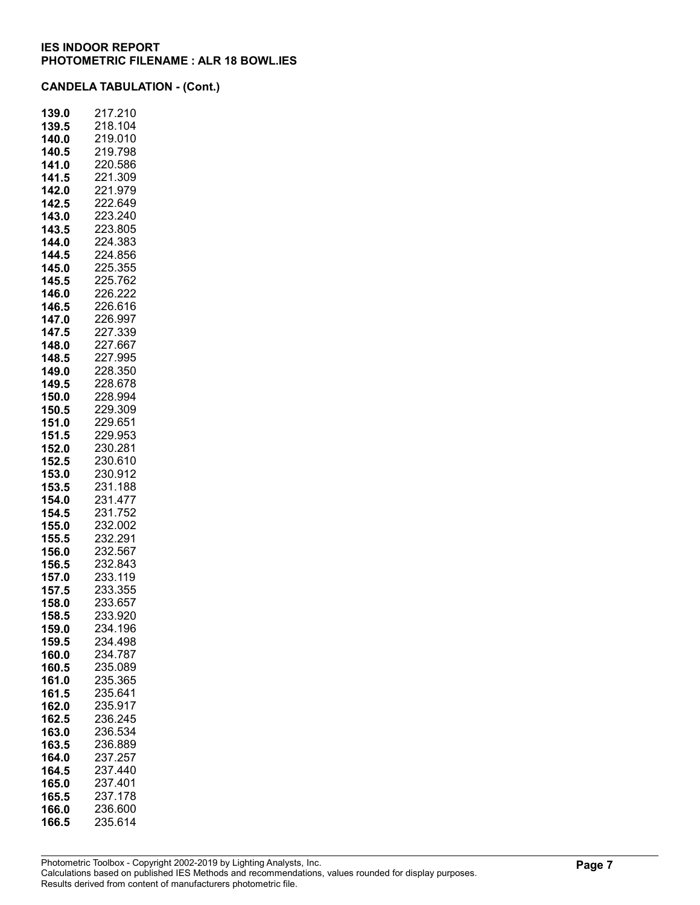| 139.0          | 217.210            |
|----------------|--------------------|
| 139.5          | 218.104            |
| 140.0          | 219.010            |
| 140.5          | 219.798            |
| 141.0          | 220.586            |
| 141.5          | 221.309            |
| 142.0          | 221.979            |
| 142.5          | 222.649            |
| 143.0          | 223.240            |
| 143.5          | 223.805            |
| 144.0          | 224.383            |
| 144.5          | 224.856            |
| 145.0          | 225.355            |
| 145.5          | 225.762            |
| 146.0          | 226.222            |
| 146.5          | 226.616            |
| 147.0          | 226.997            |
| 147.5          | 227.339            |
| 148.0          | 227.667            |
| 148.5          | 227.995            |
| 149.0          | 228.350            |
| 149.5          | 228.678            |
| 150.0          | 228.994            |
| 150.5          | 229.309            |
| 151.0          | 229.651            |
| 151.5          | 229.953            |
| 152.0          | 230.281            |
| 152.5          | 230.610            |
| 153.0          | 230.912            |
| 153.5          | 231.188            |
| 154.0          | 231.477            |
| 154.5          | 231.752            |
| 155.0          | 232.002            |
| 155.5          | 232.291            |
| 156.0          | 232.567            |
| 156.5          | 232.843            |
| 157.0          | 233.119            |
| 157.5          | 233.355            |
| 158.0          | 233.657<br>233.920 |
| 158.5          | 234.196            |
| 159.0<br>159.5 | 234.498            |
| 160.0          | 234.787            |
| 160.5          | 235.089            |
| 161.0          | 235.365            |
| 161.5          | 235.641            |
| 162.0          | 235.917            |
| 162.5          | 236.245            |
| 163.0          | 236.534            |
| 163.5          | 236.889            |
| 164.0          | 237.257            |
| 164.5          | 237.440            |
| 165.0          | 237.401            |
| 165.5          | 237.178            |
| 166.0          | 236.600            |
| 166.5          | 235.614            |
|                |                    |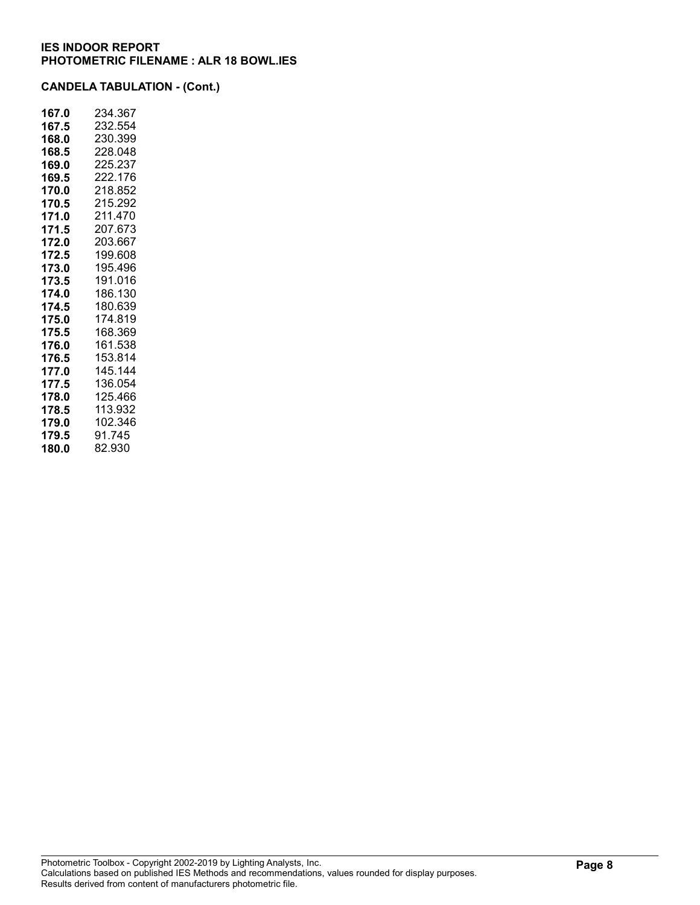| 167.0 | 234.367 |
|-------|---------|
| 167.5 | 232.554 |
| 168.0 | 230.399 |
| 168.5 | 228.048 |
| 169.0 | 225.237 |
| 169.5 | 222.176 |
| 170.0 | 218.852 |
| 170.5 | 215.292 |
| 171.0 | 211.470 |
| 171.5 | 207.673 |
| 172.0 | 203.667 |
| 172.5 | 199.608 |
| 173.0 | 195.496 |
| 173.5 | 191.016 |
| 174.0 | 186.130 |
| 174.5 | 180.639 |
| 175.0 | 174.819 |
| 175.5 | 168.369 |
| 176.0 | 161.538 |
| 176.5 | 153.814 |
| 177.0 | 145.144 |
| 177.5 | 136.054 |
| 178.0 | 125.466 |
| 178.5 | 113.932 |
| 179.0 | 102.346 |
| 179.5 | 91.745  |
| 180.0 | 82.930  |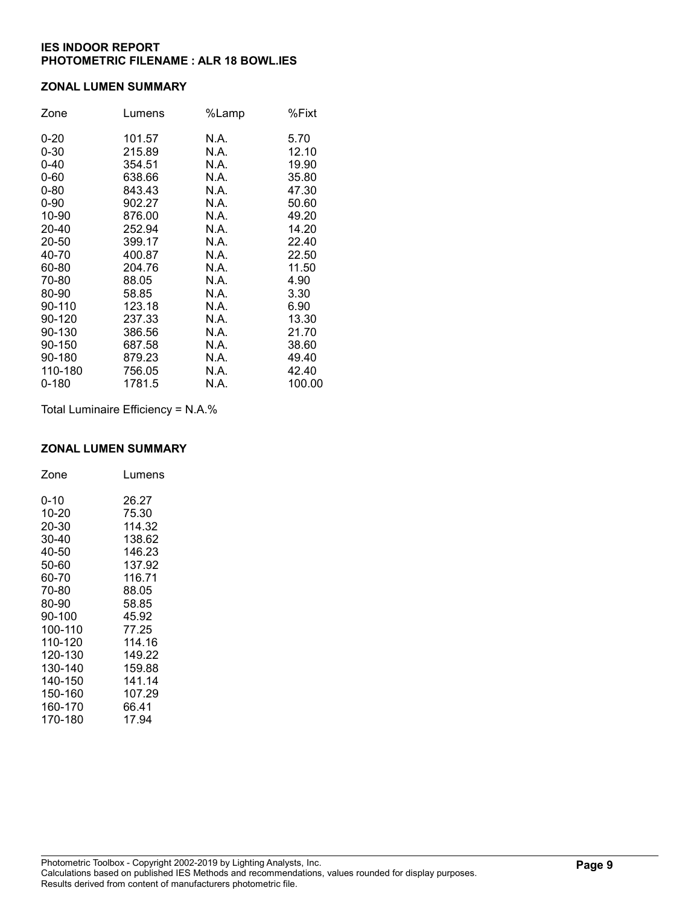#### ZONAL LUMEN SUMMARY

| Zone     | Lumens | %Lamp | %Fixt  |
|----------|--------|-------|--------|
| $0 - 20$ | 101.57 | N.A.  | 5.70   |
| $0 - 30$ | 215.89 | N.A.  | 12.10  |
| $0 - 40$ | 354.51 | N.A.  | 19.90  |
| $0 - 60$ | 638.66 | N.A.  | 35.80  |
| $0 - 80$ | 843.43 | N.A.  | 47.30  |
| $0 - 90$ | 902.27 | N.A.  | 50.60  |
| 10-90    | 876.00 | N.A.  | 49.20  |
| 20-40    | 252.94 | N.A.  | 14.20  |
| 20-50    | 399.17 | N.A.  | 22.40  |
| 40-70    | 400.87 | N.A.  | 22.50  |
| 60-80    | 204.76 | N.A.  | 11.50  |
| 70-80    | 88.05  | N.A.  | 4.90   |
| 80-90    | 58.85  | N.A.  | 3.30   |
| 90-110   | 123.18 | N.A.  | 6.90   |
| 90-120   | 237.33 | N.A.  | 13.30  |
| 90-130   | 386.56 | N.A.  | 21.70  |
| 90-150   | 687.58 | N.A.  | 38.60  |
| 90-180   | 879.23 | N.A.  | 49.40  |
| 110-180  | 756.05 | N.A.  | 42.40  |
| 0-180    | 1781.5 | N.A.  | 100.00 |

Total Luminaire Efficiency = N.A.%

## ZONAL LUMEN SUMMARY

| Zone    | Lumens |
|---------|--------|
| 0-10    | 26.27  |
| 10-20   | 75.30  |
| 20-30   | 114.32 |
| 30-40   | 138.62 |
| 40-50   | 146.23 |
| 50-60   | 137.92 |
| 60-70   | 116.71 |
| 70-80   | 88.05  |
| 80-90   | 58.85  |
| 90-100  | 45.92  |
| 100-110 | 77.25  |
| 110-120 | 114.16 |
| 120-130 | 149.22 |
| 130-140 | 159.88 |
| 140-150 | 141.14 |
| 150-160 | 107.29 |
| 160-170 | 66.41  |
| 170-180 | 17.94  |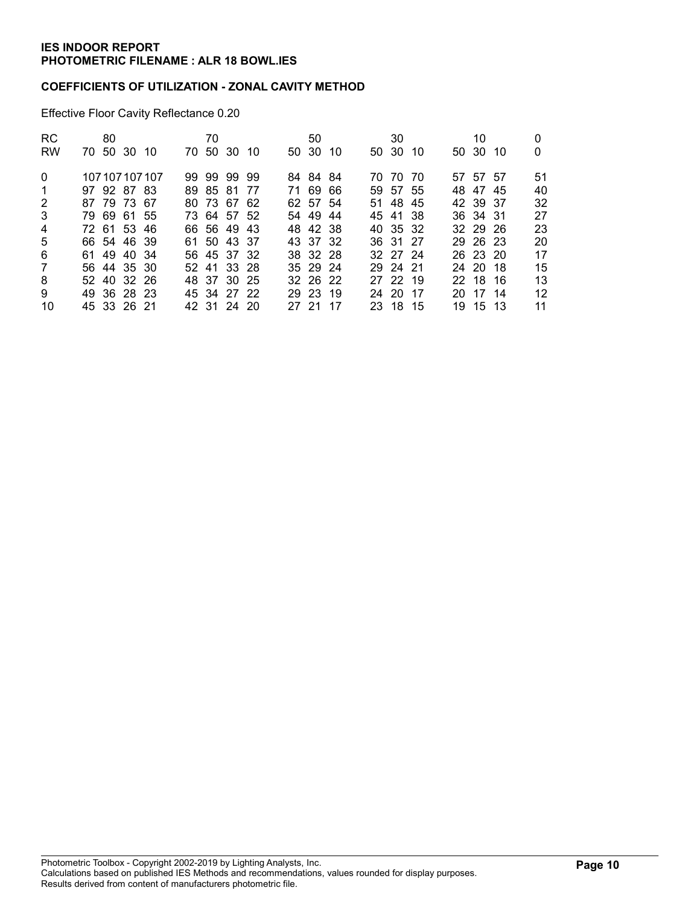#### COEFFICIENTS OF UTILIZATION - ZONAL CAVITY METHOD

Effective Floor Cavity Reflectance 0.20

| <b>RC</b>      | 80          |                 | 70 |             |       | 50       |      | 30       |  | 10       |    |
|----------------|-------------|-----------------|----|-------------|-------|----------|------|----------|--|----------|----|
| <b>RW</b>      | 70 50 30 10 |                 |    | 70 50 30 10 |       | 50 30 10 |      | 50 30 10 |  | 50 30 10 | 0  |
| $\Omega$       |             | 107 107 107 107 |    | 99 99 99 99 |       | 84 84 84 |      | 70 70 70 |  | 57 57 57 | 51 |
| -1             | 97 92 87 83 |                 |    | 89 85 81 77 |       | 71 69 66 |      | 59 57 55 |  | 48 47 45 | 40 |
| 2              | 87 79 73 67 |                 |    | 80 73 67 62 |       | 62 57 54 |      | 51 48 45 |  | 42 39 37 | 32 |
| 3              | 79 69 61 55 |                 |    | 73 64 57 52 |       | 54 49 44 |      | 45 41 38 |  | 36 34 31 | 27 |
| $\overline{4}$ | 72 61 53 46 |                 |    | 66 56 49 43 |       | 48 42 38 |      | 40 35 32 |  | 32 29 26 | 23 |
| 5              | 66 54 46 39 |                 |    | 61 50 43 37 |       | 43 37 32 |      | 36 31 27 |  | 29 26 23 | 20 |
| 6              | 61 49 40 34 |                 |    | 56 45 37 32 |       | 38 32 28 |      | 32 27 24 |  | 26 23 20 | 17 |
| 7              | 56 44 35 30 |                 |    | 52 41 33 28 |       | 35 29 24 |      | 29 24 21 |  | 24 20 18 | 15 |
| 8              | 52 40 32 26 |                 |    | 48 37 30 25 |       | 32 26 22 |      | 27 22 19 |  | 22 18 16 | 13 |
| 9              | 49 36 28 23 |                 |    | 45 34 27 22 |       | 29 23 19 |      | 24 20 17 |  | 20 17 14 | 12 |
| 10             | 45 33 26 21 |                 |    | 42 31 24 20 | 27 21 |          | - 17 | 23 18 15 |  | 19 15 13 | 11 |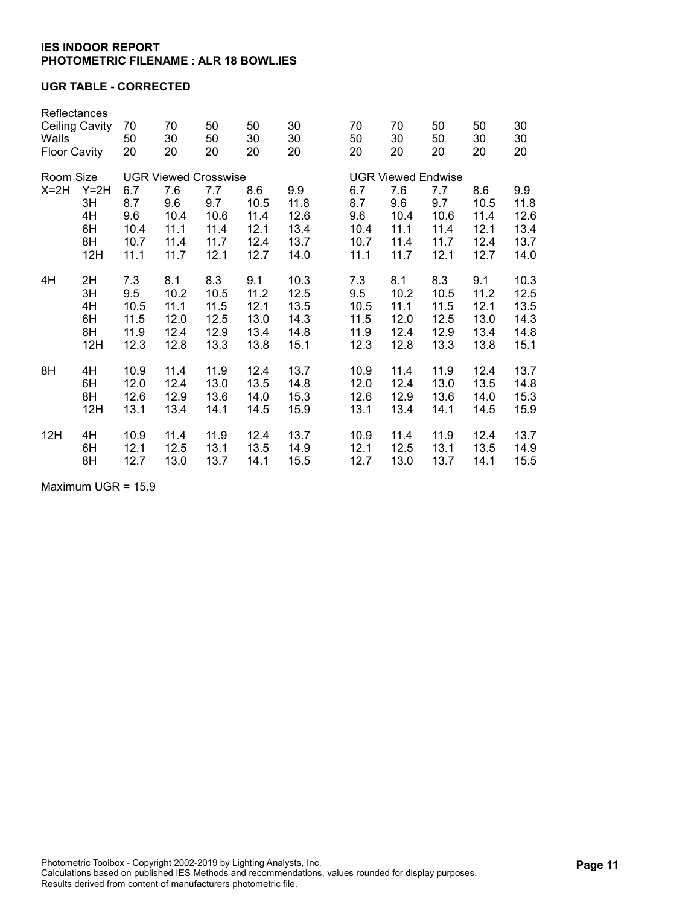#### UGR TABLE - CORRECTED

| Reflectances<br><b>Ceiling Cavity</b><br>Walls<br><b>Floor Cavity</b> |        | 70<br>50<br>20              | 70<br>30<br>20 | 50<br>50<br>20 | 50<br>30<br>20 | 30<br>30<br>20 | 70<br>50<br>20 | 70<br>30<br>20            | 50<br>50<br>20 | 50<br>30<br>20 | 30<br>30<br>20 |  |
|-----------------------------------------------------------------------|--------|-----------------------------|----------------|----------------|----------------|----------------|----------------|---------------------------|----------------|----------------|----------------|--|
| Room Size                                                             |        | <b>UGR Viewed Crosswise</b> |                |                |                |                |                | <b>UGR Viewed Endwise</b> |                |                |                |  |
| $X=2H$                                                                | $Y=2H$ | 6.7                         | 7.6            | 7.7            | 8.6            | 9.9            | 6.7            | 7.6                       | 7.7            | 8.6            | 9.9            |  |
|                                                                       | 3H     | 8.7                         | 9.6            | 9.7            | 10.5           | 11.8           | 8.7            | 9.6                       | 9.7            | 10.5           | 11.8           |  |
|                                                                       | 4H     | 9.6                         | 10.4           | 10.6           | 11.4           | 12.6           | 9.6            | 10.4                      | 10.6           | 11.4           | 12.6           |  |
|                                                                       | 6H     | 10.4                        | 11.1           | 11.4           | 12.1           | 13.4           | 10.4           | 11.1                      | 11.4           | 12.1           | 13.4           |  |
|                                                                       | 8H     | 10.7                        | 11.4           | 11.7           | 12.4           | 13.7           | 10.7           | 11.4                      | 11.7           | 12.4           | 13.7           |  |
|                                                                       | 12H    | 11.1                        | 11.7           | 12.1           | 12.7           | 14.0           | 11.1           | 11.7                      | 12.1           | 12.7           | 14.0           |  |
| 4H                                                                    | 2H     | 7.3                         | 8.1            | 8.3            | 9.1            | 10.3           | 7.3            | 8.1                       | 8.3            | 9.1            | 10.3           |  |
|                                                                       | 3H     | 9.5                         | 10.2           | 10.5           | 11.2           | 12.5           | 9.5            | 10.2                      | 10.5           | 11.2           | 12.5           |  |
|                                                                       | 4H     | 10.5                        | 11.1           | 11.5           | 12.1           | 13.5           | 10.5           | 11.1                      | 11.5           | 12.1           | 13.5           |  |
|                                                                       | 6H     | 11.5                        | 12.0           | 12.5           | 13.0           | 14.3           | 11.5           | 12.0                      | 12.5           | 13.0           | 14.3           |  |
|                                                                       | 8H     | 11.9                        | 12.4           | 12.9           | 13.4           | 14.8           | 11.9           | 12.4                      | 12.9           | 13.4           | 14.8           |  |
|                                                                       | 12H    | 12.3                        | 12.8           | 13.3           | 13.8           | 15.1           | 12.3           | 12.8                      | 13.3           | 13.8           | 15.1           |  |
| 8H                                                                    | 4H     | 10.9                        | 11.4           | 11.9           | 12.4           | 13.7           | 10.9           | 11.4                      | 11.9           | 12.4           | 13.7           |  |
|                                                                       | 6H     | 12.0                        | 12.4           | 13.0           | 13.5           | 14.8           | 12.0           | 12.4                      | 13.0           | 13.5           | 14.8           |  |
|                                                                       | 8H     | 12.6                        | 12.9           | 13.6           | 14.0           | 15.3           | 12.6           | 12.9                      | 13.6           | 14.0           | 15.3           |  |
|                                                                       | 12H    | 13.1                        | 13.4           | 14.1           | 14.5           | 15.9           | 13.1           | 13.4                      | 14.1           | 14.5           | 15.9           |  |
| 12H                                                                   | 4H     | 10.9                        | 11.4           | 11.9           | 12.4           | 13.7           | 10.9           | 11.4                      | 11.9           | 12.4           | 13.7           |  |
|                                                                       | 6H     | 12.1                        | 12.5           | 13.1           | 13.5           | 14.9           | 12.1           | 12.5                      | 13.1           | 13.5           | 14.9           |  |
|                                                                       | 8H     | 12.7                        | 13.0           | 13.7           | 14.1           | 15.5           | 12.7           | 13.0                      | 13.7           | 14.1           | 15.5           |  |

Maximum UGR = 15.9